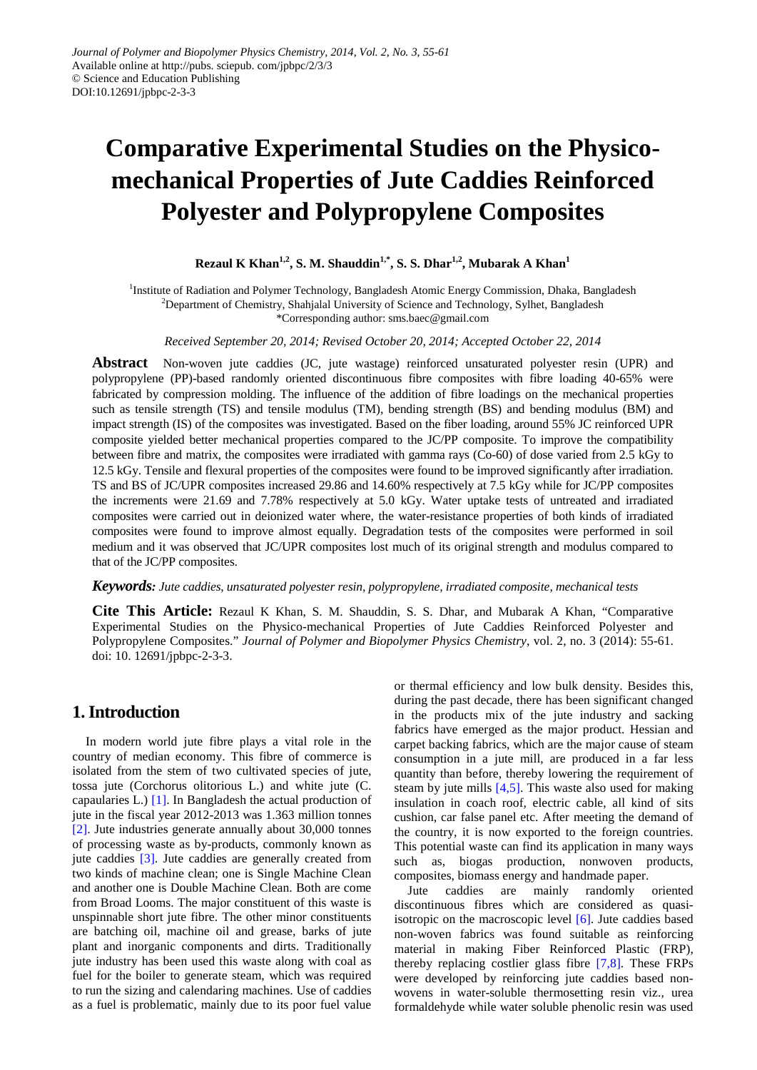# **Comparative Experimental Studies on the Physicomechanical Properties of Jute Caddies Reinforced Polyester and Polypropylene Composites**

# **Rezaul K Khan1,2, S. M. Shauddin1,\*, S. S. Dhar1,2, Mubarak A Khan1**

<sup>1</sup>Institute of Radiation and Polymer Technology, Bangladesh Atomic Energy Commission, Dhaka, Bangladesh <sup>2</sup>Department of Chemistry, Shahjalal University of Science and Technology, Sylhet, Bangladesh \*Corresponding author: sms.baec@gmail.com

*Received September 20, 2014; Revised October 20, 2014; Accepted October 22, 2014*

**Abstract** Non-woven jute caddies (JC, jute wastage) reinforced unsaturated polyester resin (UPR) and polypropylene (PP)-based randomly oriented discontinuous fibre composites with fibre loading 40-65% were fabricated by compression molding. The influence of the addition of fibre loadings on the mechanical properties such as tensile strength (TS) and tensile modulus (TM), bending strength (BS) and bending modulus (BM) and impact strength (IS) of the composites was investigated. Based on the fiber loading, around 55% JC reinforced UPR composite yielded better mechanical properties compared to the JC/PP composite. To improve the compatibility between fibre and matrix, the composites were irradiated with gamma rays (Co-60) of dose varied from 2.5 kGy to 12.5 kGy. Tensile and flexural properties of the composites were found to be improved significantly after irradiation. TS and BS of JC/UPR composites increased 29.86 and 14.60% respectively at 7.5 kGy while for JC/PP composites the increments were 21.69 and 7.78% respectively at 5.0 kGy. Water uptake tests of untreated and irradiated composites were carried out in deionized water where, the water-resistance properties of both kinds of irradiated composites were found to improve almost equally. Degradation tests of the composites were performed in soil medium and it was observed that JC/UPR composites lost much of its original strength and modulus compared to that of the JC/PP composites.

#### *Keywords: Jute caddies, unsaturated polyester resin, polypropylene, irradiated composite, mechanical tests*

**Cite This Article:** Rezaul K Khan, S. M. Shauddin, S. S. Dhar, and Mubarak A Khan, "Comparative Experimental Studies on the Physico-mechanical Properties of Jute Caddies Reinforced Polyester and Polypropylene Composites." *Journal of Polymer and Biopolymer Physics Chemistry*, vol. 2, no. 3 (2014): 55-61. doi: 10. 12691/jpbpc-2-3-3.

# **1. Introduction**

In modern world jute fibre plays a vital role in the country of median economy. This fibre of commerce is isolated from the stem of two cultivated species of jute, tossa jute (Corchorus olitorious L.) and white jute (C. capaularies L.) [\[1\].](#page-5-0) In Bangladesh the actual production of jute in the fiscal year 2012-2013 was 1.363 million tonnes [\[2\].](#page-5-1) Jute industries generate annually about 30,000 tonnes of processing waste as by-products, commonly known as jute caddies [\[3\].](#page-5-2) Jute caddies are generally created from two kinds of machine clean; one is Single Machine Clean and another one is Double Machine Clean. Both are come from Broad Looms. The major constituent of this waste is unspinnable short jute fibre. The other minor constituents are batching oil, machine oil and grease, barks of jute plant and inorganic components and dirts. Traditionally jute industry has been used this waste along with coal as fuel for the boiler to generate steam, which was required to run the sizing and calendaring machines. Use of caddies as a fuel is problematic, mainly due to its poor fuel value

or thermal efficiency and low bulk density. Besides this, during the past decade, there has been significant changed in the products mix of the jute industry and sacking fabrics have emerged as the major product. Hessian and carpet backing fabrics, which are the major cause of steam consumption in a jute mill, are produced in a far less quantity than before, thereby lowering the requirement of steam by jute mills [\[4,5\].](#page-5-3) This waste also used for making insulation in coach roof, electric cable, all kind of sits cushion, car false panel etc. After meeting the demand of the country, it is now exported to the foreign countries. This potential waste can find its application in many ways such as, biogas production, nonwoven products, composites, biomass energy and handmade paper.

Jute caddies are mainly randomly oriented discontinuous fibres which are considered as quasiisotropic on the macroscopic level [\[6\].](#page-5-4) Jute caddies based non-woven fabrics was found suitable as reinforcing material in making Fiber Reinforced Plastic (FRP), thereby replacing costlier glass fibre [\[7,8\].](#page-5-5) These FRPs were developed by reinforcing jute caddies based nonwovens in water-soluble thermosetting resin viz., urea formaldehyde while water soluble phenolic resin was used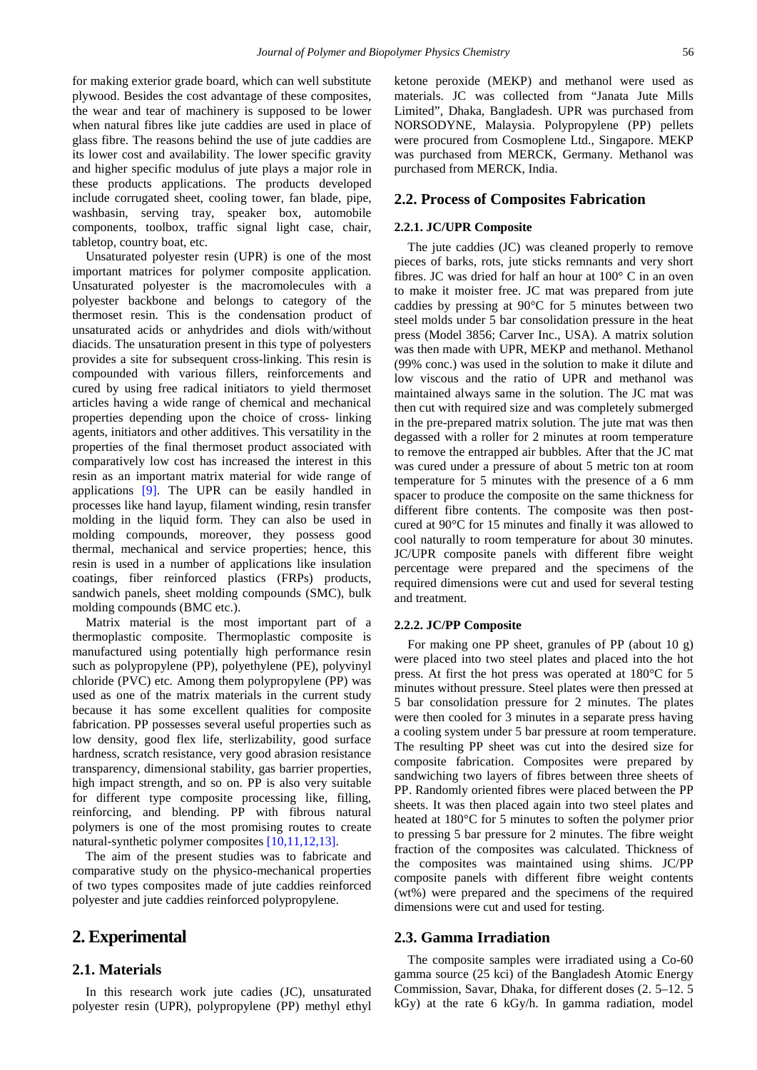for making exterior grade board, which can well substitute plywood. Besides the cost advantage of these composites, the wear and tear of machinery is supposed to be lower when natural fibres like jute caddies are used in place of glass fibre. The reasons behind the use of jute caddies are its lower cost and availability. The lower specific gravity and higher specific modulus of jute plays a major role in these products applications. The products developed include corrugated sheet, cooling tower, fan blade, pipe, washbasin, serving tray, speaker box, automobile components, toolbox, traffic signal light case, chair, tabletop, country boat, etc.

Unsaturated polyester resin (UPR) is one of the most important matrices for polymer composite application. Unsaturated polyester is the macromolecules with a polyester backbone and belongs to category of the thermoset resin. This is the condensation product of unsaturated acids or anhydrides and diols with/without diacids. The unsaturation present in this type of polyesters provides a site for subsequent cross-linking. This resin is compounded with various fillers, reinforcements and cured by using free radical initiators to yield thermoset articles having a wide range of chemical and mechanical properties depending upon the choice of cross- linking agents, initiators and other additives. This versatility in the properties of the final thermoset product associated with comparatively low cost has increased the interest in this resin as an important matrix material for wide range of applications [\[9\].](#page-5-6) The UPR can be easily handled in processes like hand layup, filament winding, resin transfer molding in the liquid form. They can also be used in molding compounds, moreover, they possess good thermal, mechanical and service properties; hence, this resin is used in a number of applications like insulation coatings, fiber reinforced plastics (FRPs) products, sandwich panels, sheet molding compounds (SMC), bulk molding compounds (BMC etc.).

Matrix material is the most important part of a thermoplastic composite. Thermoplastic composite is manufactured using potentially high performance resin such as polypropylene (PP), polyethylene (PE), polyvinyl chloride (PVC) etc. Among them polypropylene (PP) was used as one of the matrix materials in the current study because it has some excellent qualities for composite fabrication. PP possesses several useful properties such as low density, good flex life, sterlizability, good surface hardness, scratch resistance, very good abrasion resistance transparency, dimensional stability, gas barrier properties, high impact strength, and so on. PP is also very suitable for different type composite processing like, filling, reinforcing, and blending. PP with fibrous natural polymers is one of the most promising routes to create natural-synthetic polymer composites [\[10,11,12,13\].](#page-5-7)

The aim of the present studies was to fabricate and comparative study on the physico-mechanical properties of two types composites made of jute caddies reinforced polyester and jute caddies reinforced polypropylene.

## **2. Experimental**

#### **2.1. Materials**

In this research work jute cadies (JC), unsaturated polyester resin (UPR), polypropylene (PP) methyl ethyl ketone peroxide (MEKP) and methanol were used as materials. JC was collected from "Janata Jute Mills Limited", Dhaka, Bangladesh. UPR was purchased from NORSODYNE, Malaysia. Polypropylene (PP) pellets were procured from Cosmoplene Ltd., Singapore. MEKP was purchased from MERCK, Germany. Methanol was purchased from MERCK, India.

#### **2.2. Process of Composites Fabrication**

#### **2.2.1. JC/UPR Composite**

The jute caddies (JC) was cleaned properly to remove pieces of barks, rots, jute sticks remnants and very short fibres. JC was dried for half an hour at 100° C in an oven to make it moister free. JC mat was prepared from jute caddies by pressing at 90°C for 5 minutes between two steel molds under 5 bar consolidation pressure in the heat press (Model 3856; Carver Inc., USA). A matrix solution was then made with UPR, MEKP and methanol. Methanol (99% conc.) was used in the solution to make it dilute and low viscous and the ratio of UPR and methanol was maintained always same in the solution. The JC mat was then cut with required size and was completely submerged in the pre-prepared matrix solution. The jute mat was then degassed with a roller for 2 minutes at room temperature to remove the entrapped air bubbles. After that the JC mat was cured under a pressure of about 5 metric ton at room temperature for 5 minutes with the presence of a 6 mm spacer to produce the composite on the same thickness for different fibre contents. The composite was then postcured at 90°C for 15 minutes and finally it was allowed to cool naturally to room temperature for about 30 minutes. JC/UPR composite panels with different fibre weight percentage were prepared and the specimens of the required dimensions were cut and used for several testing and treatment.

#### **2.2.2. JC/PP Composite**

For making one PP sheet, granules of PP (about 10 g) were placed into two steel plates and placed into the hot press. At first the hot press was operated at 180°C for 5 minutes without pressure. Steel plates were then pressed at 5 bar consolidation pressure for 2 minutes. The plates were then cooled for 3 minutes in a separate press having a cooling system under 5 bar pressure at room temperature. The resulting PP sheet was cut into the desired size for composite fabrication. Composites were prepared by sandwiching two layers of fibres between three sheets of PP. Randomly oriented fibres were placed between the PP sheets. It was then placed again into two steel plates and heated at 180°C for 5 minutes to soften the polymer prior to pressing 5 bar pressure for 2 minutes. The fibre weight fraction of the composites was calculated. Thickness of the composites was maintained using shims. JC/PP composite panels with different fibre weight contents (wt%) were prepared and the specimens of the required dimensions were cut and used for testing.

#### **2.3. Gamma Irradiation**

The composite samples were irradiated using a Co-60 gamma source (25 kci) of the Bangladesh Atomic Energy Commission, Savar, Dhaka, for different doses (2. 5–12. 5 kGy) at the rate 6 kGy/h. In gamma radiation, model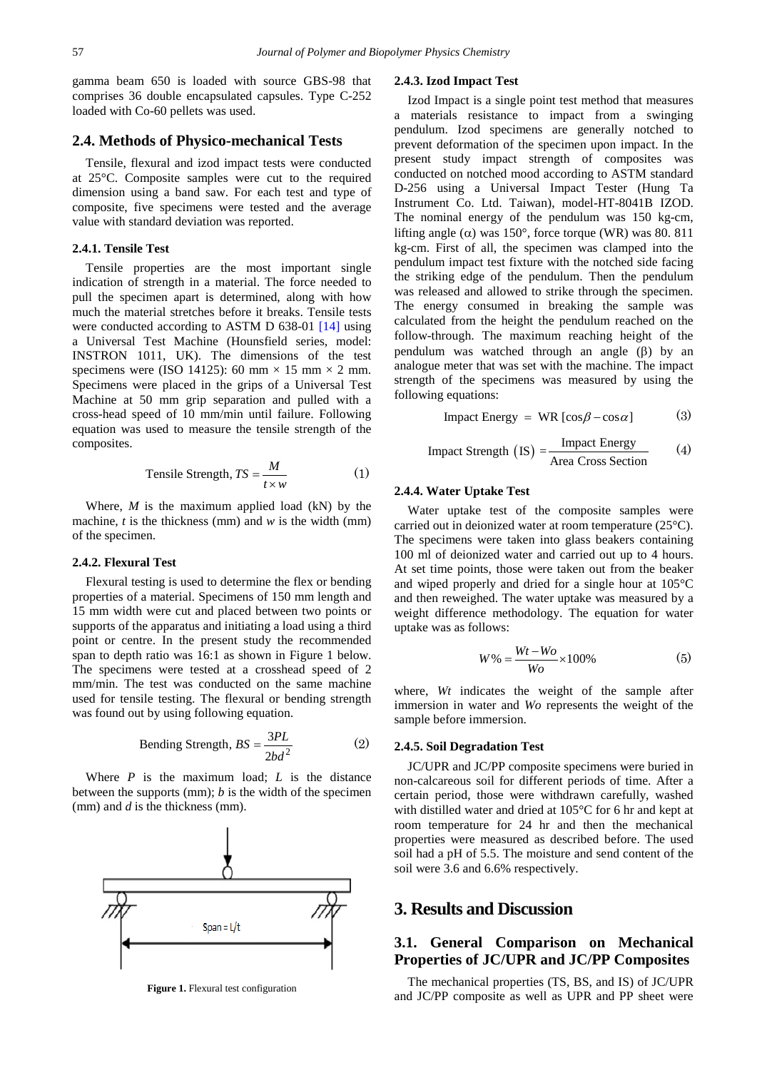gamma beam 650 is loaded with source GBS-98 that comprises 36 double encapsulated capsules. Type C-252 loaded with Co-60 pellets was used.

### **2.4. Methods of Physico-mechanical Tests**

Tensile, flexural and izod impact tests were conducted at 25°C. Composite samples were cut to the required dimension using a band saw. For each test and type of composite, five specimens were tested and the average value with standard deviation was reported.

#### **2.4.1. Tensile Test**

Tensile properties are the most important single indication of strength in a material. The force needed to pull the specimen apart is determined, along with how much the material stretches before it breaks. Tensile tests were conducted according to ASTM D 638-01 [\[14\]](#page-6-0) using a Universal Test Machine (Hounsfield series, model: INSTRON 1011, UK). The dimensions of the test specimens were (ISO 14125): 60 mm  $\times$  15 mm  $\times$  2 mm. Specimens were placed in the grips of a Universal Test Machine at 50 mm grip separation and pulled with a cross-head speed of 10 mm/min until failure. Following equation was used to measure the tensile strength of the composites.

Tensile Strength, 
$$
TS = \frac{M}{t \times w}
$$
 (1)

Where,  $M$  is the maximum applied load (kN) by the machine, *t* is the thickness (mm) and *w* is the width (mm) of the specimen.

#### **2.4.2. Flexural Test**

Flexural testing is used to determine the flex or bending properties of a material. Specimens of 150 mm length and 15 mm width were cut and placed between two points or supports of the apparatus and initiating a load using a third point or centre. In the present study the recommended span to depth ratio was 16:1 as shown in Figure 1 below. The specimens were tested at a crosshead speed of 2 mm/min. The test was conducted on the same machine used for tensile testing. The flexural or bending strength was found out by using following equation.

Bending Strength, 
$$
BS = \frac{3PL}{2bd^2}
$$
 (2)

Where *P* is the maximum load; *L* is the distance between the supports (mm); *b* is the width of the specimen (mm) and *d* is the thickness (mm).



**Figure 1.** Flexural test configuration

#### **2.4.3. Izod Impact Test**

Izod Impact is a single point test method that measures a materials resistance to impact from a swinging pendulum. Izod specimens are generally notched to prevent deformation of the specimen upon impact. In the present study impact strength of composites was conducted on notched mood according to ASTM standard D-256 using a Universal Impact Tester (Hung Ta Instrument Co. Ltd. Taiwan), model-HT-8041B IZOD. The nominal energy of the pendulum was 150 kg-cm, lifting angle ( $\alpha$ ) was 150°, force torque (WR) was 80. 811 kg-cm. First of all, the specimen was clamped into the pendulum impact test fixture with the notched side facing the striking edge of the pendulum. Then the pendulum was released and allowed to strike through the specimen. The energy consumed in breaking the sample was calculated from the height the pendulum reached on the follow-through. The maximum reaching height of the pendulum was watched through an angle (β) by an analogue meter that was set with the machine. The impact strength of the specimens was measured by using the following equations:

$$
Image Energy = WR [cos\beta - cos\alpha]
$$
 (3)

$$
Image(4)
$$
  
Impack Strength (IS) = 
$$
\frac{\text{Impack Energy}}{\text{Area Cross Section}}
$$
 (4)

#### **2.4.4. Water Uptake Test**

Water uptake test of the composite samples were carried out in deionized water at room temperature (25°C). The specimens were taken into glass beakers containing 100 ml of deionized water and carried out up to 4 hours. At set time points, those were taken out from the beaker and wiped properly and dried for a single hour at 105°C and then reweighed. The water uptake was measured by a weight difference methodology. The equation for water uptake was as follows:

$$
W\% = \frac{Wt - Wo}{Wo} \times 100\% \tag{5}
$$

where, *Wt* indicates the weight of the sample after immersion in water and *Wo* represents the weight of the sample before immersion.

#### **2.4.5. Soil Degradation Test**

JC/UPR and JC/PP composite specimens were buried in non-calcareous soil for different periods of time. After a certain period, those were withdrawn carefully, washed with distilled water and dried at 105°C for 6 hr and kept at room temperature for 24 hr and then the mechanical properties were measured as described before. The used soil had a pH of 5.5. The moisture and send content of the soil were 3.6 and 6.6% respectively.

# **3. Results and Discussion**

# **3.1. General Comparison on Mechanical Properties of JC/UPR and JC/PP Composites**

The mechanical properties (TS, BS, and IS) of JC/UPR and JC/PP composite as well as UPR and PP sheet were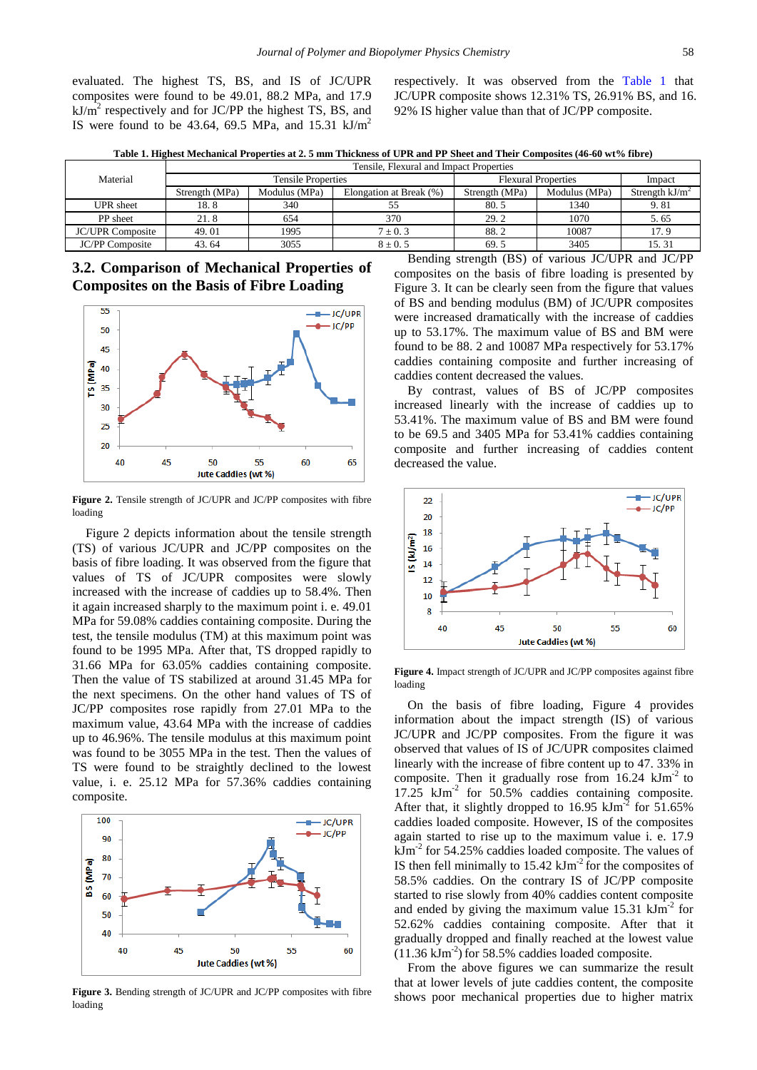evaluated. The highest TS, BS, and IS of JC/UPR composites were found to be 49.01, 88.2 MPa, and 17.9  $kJ/m<sup>2</sup>$  respectively and for JC/PP the highest TS, BS, and IS were found to be 43.64, 69.5 MPa, and 15.31  $kJ/m<sup>2</sup>$ 

respectively. It was observed from the [Table 1](#page-3-0) that JC/UPR composite shows 12.31% TS, 26.91% BS, and 16. 92% IS higher value than that of JC/PP composite.

**Table 1. Highest Mechanical Properties at 2. 5 mm Thickness of UPR and PP Sheet and Their Composites (46-60 wt% fibre)**

<span id="page-3-0"></span>

|                         | Tensile. Flexural and Impact Properties |               |                         |                            |               |                   |
|-------------------------|-----------------------------------------|---------------|-------------------------|----------------------------|---------------|-------------------|
| Material                | <b>Tensile Properties</b>               |               |                         | <b>Flexural Properties</b> |               | Impact            |
|                         | Strength (MPa)                          | Modulus (MPa) | Elongation at Break (%) | Strength (MPa)             | Modulus (MPa) | Strength $kJ/m^2$ |
| <b>UPR</b> sheet        | 18.8                                    | 340           |                         | 80.5                       | 1340          | 9.81              |
| PP sheet                | 21.8                                    | 654           | 370                     | 29.2                       | 1070          | 5.65              |
| <b>JC/UPR Composite</b> | 49.01                                   | 1995          | $7 \pm 0.3$             | 88.2                       | 10087         | 17.9              |
| <b>JC/PP</b> Composite  | 43.64                                   | 3055          | $8 \pm 0.5$             | 69.5                       | 3405          | 15.31             |

## **3.2. Comparison of Mechanical Properties of Composites on the Basis of Fibre Loading**



Figure 2. Tensile strength of JC/UPR and JC/PP composites with fibre loading

Figure 2 depicts information about the tensile strength (TS) of various JC/UPR and JC/PP composites on the basis of fibre loading. It was observed from the figure that values of TS of JC/UPR composites were slowly increased with the increase of caddies up to 58.4%. Then it again increased sharply to the maximum point i. e. 49.01 MPa for 59.08% caddies containing composite. During the test, the tensile modulus (TM) at this maximum point was found to be 1995 MPa. After that, TS dropped rapidly to 31.66 MPa for 63.05% caddies containing composite. Then the value of TS stabilized at around 31.45 MPa for the next specimens. On the other hand values of TS of JC/PP composites rose rapidly from 27.01 MPa to the maximum value, 43.64 MPa with the increase of caddies up to 46.96%. The tensile modulus at this maximum point was found to be 3055 MPa in the test. Then the values of TS were found to be straightly declined to the lowest value, i. e. 25.12 MPa for 57.36% caddies containing composite.



**Figure 3.** Bending strength of JC/UPR and JC/PP composites with fibre loading

Bending strength (BS) of various JC/UPR and JC/PP composites on the basis of fibre loading is presented by Figure 3. It can be clearly seen from the figure that values of BS and bending modulus (BM) of JC/UPR composites were increased dramatically with the increase of caddies up to 53.17%. The maximum value of BS and BM were found to be 88. 2 and 10087 MPa respectively for 53.17% caddies containing composite and further increasing of caddies content decreased the values.

By contrast, values of BS of JC/PP composites increased linearly with the increase of caddies up to 53.41%. The maximum value of BS and BM were found to be 69.5 and 3405 MPa for 53.41% caddies containing composite and further increasing of caddies content decreased the value.



**Figure 4.** Impact strength of JC/UPR and JC/PP composites against fibre loading

On the basis of fibre loading, Figure 4 provides information about the impact strength (IS) of various JC/UPR and JC/PP composites. From the figure it was observed that values of IS of JC/UPR composites claimed linearly with the increase of fibre content up to 47. 33% in composite. Then it gradually rose from  $16.24 \text{ kJm}^2$  to  $17.25$  kJm<sup>-2</sup> for 50.5% caddies containing composite. After that, it slightly dropped to  $16.95$  kJm<sup>-2</sup> for  $51.65\%$ caddies loaded composite. However, IS of the composites again started to rise up to the maximum value i. e. 17.9  $kJm<sup>-2</sup>$  for 54.25% caddies loaded composite. The values of IS then fell minimally to  $15.42 \text{ kJm}^2$  for the composites of 58.5% caddies. On the contrary IS of JC/PP composite started to rise slowly from 40% caddies content composite and ended by giving the maximum value  $15.31 \text{ kJm}^2$  for 52.62% caddies containing composite. After that it gradually dropped and finally reached at the lowest value  $(11.36 \text{ kJm}^2)$  for 58.5% caddies loaded composite.

From the above figures we can summarize the result that at lower levels of jute caddies content, the composite shows poor mechanical properties due to higher matrix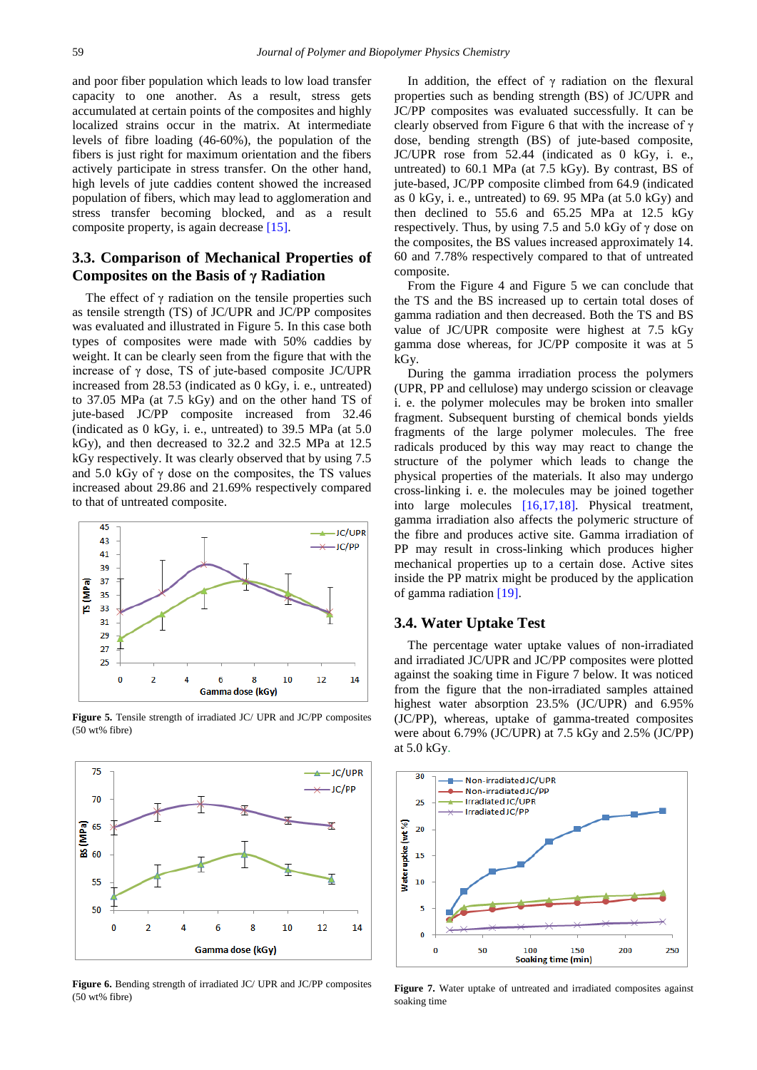and poor fiber population which leads to low load transfer capacity to one another. As a result, stress gets accumulated at certain points of the composites and highly localized strains occur in the matrix. At intermediate levels of fibre loading (46-60%), the population of the fibers is just right for maximum orientation and the fibers actively participate in stress transfer. On the other hand, high levels of jute caddies content showed the increased population of fibers, which may lead to agglomeration and stress transfer becoming blocked, and as a result composite property, is again decreas[e \[15\].](#page-6-1) 

# **3.3. Comparison of Mechanical Properties of Composites on the Basis of γ Radiation**

The effect of  $\gamma$  radiation on the tensile properties such as tensile strength (TS) of JC/UPR and JC/PP composites was evaluated and illustrated in Figure 5. In this case both types of composites were made with 50% caddies by weight. It can be clearly seen from the figure that with the increase of  $\gamma$  dose, TS of jute-based composite JC/UPR increased from 28.53 (indicated as 0 kGy, i. e., untreated) to 37.05 MPa (at 7.5 kGy) and on the other hand TS of jute-based JC/PP composite increased from 32.46 (indicated as 0 kGy, i. e., untreated) to 39.5 MPa (at 5.0 kGy), and then decreased to 32.2 and 32.5 MPa at 12.5 kGy respectively. It was clearly observed that by using 7.5 and 5.0 kGy of  $\gamma$  dose on the composites, the TS values increased about 29.86 and 21.69% respectively compared to that of untreated composite.



**Figure 5.** Tensile strength of irradiated JC/ UPR and JC/PP composites (50 wt% fibre)



**Figure 6.** Bending strength of irradiated JC/ UPR and JC/PP composites (50 wt% fibre)

In addition, the effect of  $\gamma$  radiation on the flexural properties such as bending strength (BS) of JC/UPR and JC/PP composites was evaluated successfully. It can be clearly observed from Figure 6 that with the increase of γ dose, bending strength (BS) of jute-based composite, JC/UPR rose from 52.44 (indicated as 0 kGy, i. e., untreated) to 60.1 MPa (at 7.5 kGy). By contrast, BS of jute-based, JC/PP composite climbed from 64.9 (indicated as 0 kGy, i. e., untreated) to 69. 95 MPa (at 5.0 kGy) and then declined to 55.6 and 65.25 MPa at 12.5 kGy respectively. Thus, by using 7.5 and 5.0 kGy of  $\gamma$  dose on the composites, the BS values increased approximately 14. 60 and 7.78% respectively compared to that of untreated composite.

From the Figure 4 and Figure 5 we can conclude that the TS and the BS increased up to certain total doses of gamma radiation and then decreased. Both the TS and BS value of JC/UPR composite were highest at 7.5 kGy gamma dose whereas, for JC/PP composite it was at 5 kGy.

During the gamma irradiation process the polymers (UPR, PP and cellulose) may undergo scission or cleavage i. e. the polymer molecules may be broken into smaller fragment. Subsequent bursting of chemical bonds yields fragments of the large polymer molecules. The free radicals produced by this way may react to change the structure of the polymer which leads to change the physical properties of the materials. It also may undergo cross-linking i. e. the molecules may be joined together into large molecules [\[16,17,18\].](#page-6-2) Physical treatment, gamma irradiation also affects the polymeric structure of the fibre and produces active site. Gamma irradiation of PP may result in cross-linking which produces higher mechanical properties up to a certain dose. Active sites inside the PP matrix might be produced by the application of gamma radiation [\[19\].](#page-6-3)

#### **3.4. Water Uptake Test**

The percentage water uptake values of non-irradiated and irradiated JC/UPR and JC/PP composites were plotted against the soaking time in Figure 7 below. It was noticed from the figure that the non-irradiated samples attained highest water absorption 23.5% (JC/UPR) and 6.95% (JC/PP), whereas, uptake of gamma-treated composites were about 6.79% (JC/UPR) at 7.5 kGy and 2.5% (JC/PP) at 5.0 kGy.



**Figure** 7. Water uptake of untreated and irradiated composites against soaking time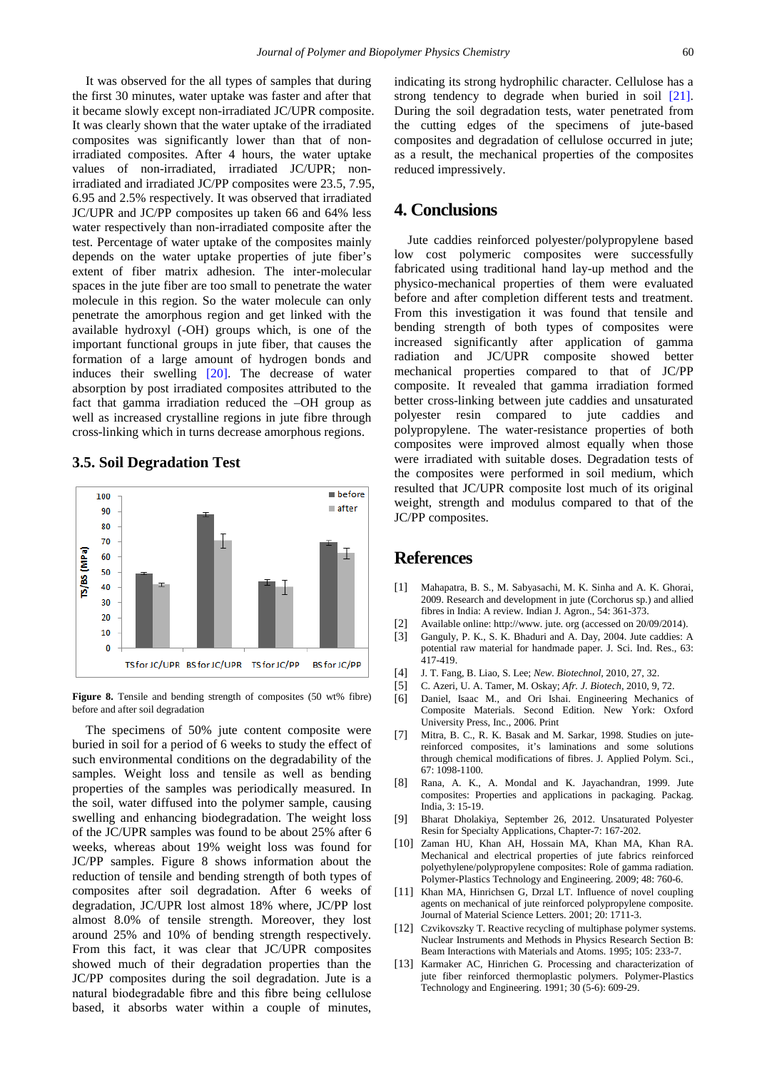It was observed for the all types of samples that during the first 30 minutes, water uptake was faster and after that it became slowly except non-irradiated JC/UPR composite. It was clearly shown that the water uptake of the irradiated composites was significantly lower than that of nonirradiated composites. After 4 hours, the water uptake values of non-irradiated, irradiated JC/UPR; nonirradiated and irradiated JC/PP composites were 23.5, 7.95, 6.95 and 2.5% respectively. It was observed that irradiated JC/UPR and JC/PP composites up taken 66 and 64% less water respectively than non-irradiated composite after the test. Percentage of water uptake of the composites mainly depends on the water uptake properties of jute fiber's extent of fiber matrix adhesion. The inter-molecular spaces in the jute fiber are too small to penetrate the water molecule in this region. So the water molecule can only penetrate the amorphous region and get linked with the available hydroxyl (-OH) groups which, is one of the important functional groups in jute fiber, that causes the formation of a large amount of hydrogen bonds and induces their swelling  $[20]$ . The decrease of water absorption by post irradiated composites attributed to the fact that gamma irradiation reduced the –OH group as well as increased crystalline regions in jute fibre through cross-linking which in turns decrease amorphous regions.

#### **3.5. Soil Degradation Test**



Figure 8. Tensile and bending strength of composites (50 wt% fibre) before and after soil degradation

The specimens of 50% jute content composite were buried in soil for a period of 6 weeks to study the effect of such environmental conditions on the degradability of the samples. Weight loss and tensile as well as bending properties of the samples was periodically measured. In the soil, water diffused into the polymer sample, causing swelling and enhancing biodegradation. The weight loss of the JC/UPR samples was found to be about 25% after 6 weeks, whereas about 19% weight loss was found for JC/PP samples. Figure 8 shows information about the reduction of tensile and bending strength of both types of composites after soil degradation. After 6 weeks of degradation, JC/UPR lost almost 18% where, JC/PP lost almost 8.0% of tensile strength. Moreover, they lost around 25% and 10% of bending strength respectively. From this fact, it was clear that JC/UPR composites showed much of their degradation properties than the JC/PP composites during the soil degradation. Jute is a natural biodegradable fibre and this fibre being cellulose based, it absorbs water within a couple of minutes,

indicating its strong hydrophilic character. Cellulose has a strong tendency to degrade when buried in soil [\[21\].](#page-6-5) During the soil degradation tests, water penetrated from the cutting edges of the specimens of jute-based composites and degradation of cellulose occurred in jute; as a result, the mechanical properties of the composites reduced impressively.

# **4. Conclusions**

Jute caddies reinforced polyester/polypropylene based low cost polymeric composites were successfully fabricated using traditional hand lay-up method and the physico-mechanical properties of them were evaluated before and after completion different tests and treatment. From this investigation it was found that tensile and bending strength of both types of composites were increased significantly after application of gamma radiation and JC/UPR composite showed better mechanical properties compared to that of JC/PP composite. It revealed that gamma irradiation formed better cross-linking between jute caddies and unsaturated polyester resin compared to jute caddies and polypropylene. The water-resistance properties of both composites were improved almost equally when those were irradiated with suitable doses. Degradation tests of the composites were performed in soil medium, which resulted that JC/UPR composite lost much of its original weight, strength and modulus compared to that of the JC/PP composites.

## **References**

- <span id="page-5-0"></span>[1] Mahapatra, B. S., M. Sabyasachi, M. K. Sinha and A. K. Ghorai, 2009. Research and development in jute (Corchorus sp.) and allied fibres in India: A review. Indian J. Agron., 54: 361-373.
- <span id="page-5-1"></span>[2] Available online: http://www.jute.org (accessed on 20/09/2014).
- <span id="page-5-2"></span>[3] Ganguly, P. K., S. K. Bhaduri and A. Day, 2004. Jute caddies: A potential raw material for handmade paper. J. Sci. Ind. Res., 63: 417-419.
- <span id="page-5-3"></span>[4] J. T. Fang, B. Liao, S. Lee; *New. Biotechnol,* 2010, 27, 32.
- [5] C. Azeri, U. A. Tamer, M. Oskay; *Afr. J. Biotech*, 2010, 9, 72.
- <span id="page-5-4"></span>[6] Daniel, Isaac M., and Ori Ishai. Engineering Mechanics of Composite Materials. Second Edition. New York: Oxford University Press, Inc., 2006. Print
- <span id="page-5-5"></span>[7] Mitra, B. C., R. K. Basak and M. Sarkar, 1998. Studies on jutereinforced composites, it's laminations and some solutions through chemical modifications of fibres. J. Applied Polym. Sci., 67: 1098-1100.
- [8] Rana, A. K., A. Mondal and K. Jayachandran, 1999. Jute composites: Properties and applications in packaging. Packag. India, 3: 15-19.
- <span id="page-5-6"></span>[9] Bharat Dholakiya, September 26, 2012. Unsaturated Polyester Resin for Specialty Applications, Chapter-7: 167-202.
- <span id="page-5-7"></span>[10] Zaman HU, Khan AH, Hossain MA, Khan MA, Khan RA. Mechanical and electrical properties of jute fabrics reinforced polyethylene/polypropylene composites: Role of gamma radiation. Polymer-Plastics Technology and Engineering. 2009; 48: 760-6.
- [11] Khan MA, Hinrichsen G, Drzal LT. Influence of novel coupling agents on mechanical of jute reinforced polypropylene composite. Journal of Material Science Letters. 2001; 20: 1711-3.
- [12] Czvikovszky T. Reactive recycling of multiphase polymer systems. Nuclear Instruments and Methods in Physics Research Section B: Beam Interactions with Materials and Atoms. 1995; 105: 233-7.
- [13] Karmaker AC, Hinrichen G. Processing and characterization of jute fiber reinforced thermoplastic polymers. Polymer-Plastics Technology and Engineering. 1991; 30 (5-6): 609-29.